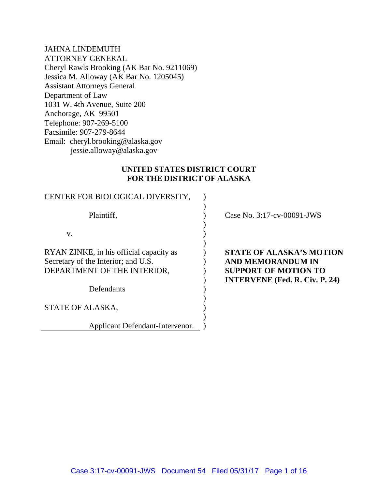JAHNA LINDEMUTH ATTORNEY GENERAL Cheryl Rawls Brooking (AK Bar No. 9211069) Jessica M. Alloway (AK Bar No. 1205045) Assistant Attorneys General Department of Law 1031 W. 4th Avenue, Suite 200 Anchorage, AK 99501 Telephone: 907-269-5100 Facsimile: 907-279-8644 Email: cheryl.brooking@alaska.gov jessie.alloway@alaska.gov

### **UNITED STATES DISTRICT COURT FOR THE DISTRICT OF ALASKA**

| CENTER FOR BIOLOGICAL DIVERSITY,                                               |                                                                      |
|--------------------------------------------------------------------------------|----------------------------------------------------------------------|
| Plaintiff,                                                                     | Case No. 3:17-cv-00091-JWS                                           |
| V.                                                                             |                                                                      |
| RYAN ZINKE, in his official capacity as<br>Secretary of the Interior; and U.S. | <b>STATE OF ALASKA'S MOTION</b><br><b>AND MEMORANDUM IN</b>          |
| DEPARTMENT OF THE INTERIOR,                                                    | <b>SUPPORT OF MOTION TO</b><br><b>INTERVENE</b> (Fed. R. Civ. P. 24) |
| Defendants                                                                     |                                                                      |
| STATE OF ALASKA,                                                               |                                                                      |
| Applicant Defendant-Intervenor.                                                |                                                                      |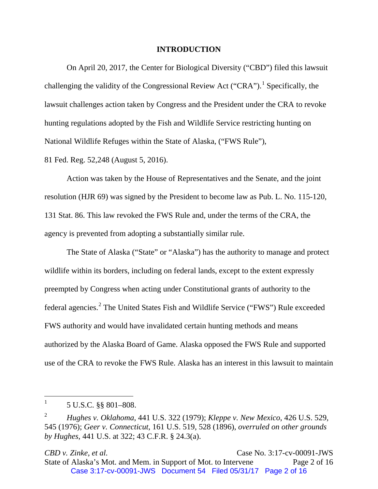#### **INTRODUCTION**

On April 20, 2017, the Center for Biological Diversity ("CBD") filed this lawsuit challenging the validity of the Congressional Review Act ("CRA").<sup>[1](#page-1-0)</sup> Specifically, the lawsuit challenges action taken by Congress and the President under the CRA to revoke hunting regulations adopted by the Fish and Wildlife Service restricting hunting on National Wildlife Refuges within the State of Alaska, ("FWS Rule"),

81 Fed. Reg. 52,248 (August 5, 2016).

Action was taken by the House of Representatives and the Senate, and the joint resolution (HJR 69) was signed by the President to become law as Pub. L. No. 115-120, 131 Stat. 86. This law revoked the FWS Rule and, under the terms of the CRA, the agency is prevented from adopting a substantially similar rule.

The State of Alaska ("State" or "Alaska") has the authority to manage and protect wildlife within its borders, including on federal lands, except to the extent expressly preempted by Congress when acting under Constitutional grants of authority to the federal agencies.[2](#page-1-1) The United States Fish and Wildlife Service ("FWS") Rule exceeded FWS authority and would have invalidated certain hunting methods and means authorized by the Alaska Board of Game. Alaska opposed the FWS Rule and supported use of the CRA to revoke the FWS Rule. Alaska has an interest in this lawsuit to maintain

*CBD v. Zinke, et al.* **Case No. 3:17-cv-00091-JWS** State of Alaska's Mot. and Mem. in Support of Mot. to Intervene Page 2 of 16 Case 3:17-cv-00091-JWS Document 54 Filed 05/31/17 Page 2 of 16

<span id="page-1-0"></span> $^{1}$  5 U.S.C. §§ 801–808.

<span id="page-1-1"></span><sup>2</sup> *Hughes v. Oklahoma*, 441 U.S. 322 (1979); *Kleppe v. New Mexico*, 426 U.S. 529, 545 (1976); *Geer v. Connecticut*, 161 U.S. 519, 528 (1896), *overruled on other grounds by Hughes*, 441 U.S. at 322; 43 C.F.R. § 24.3(a).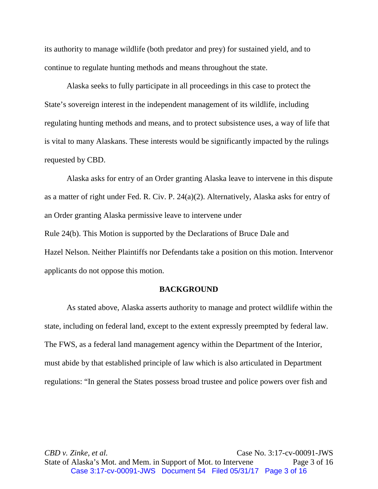its authority to manage wildlife (both predator and prey) for sustained yield, and to continue to regulate hunting methods and means throughout the state.

Alaska seeks to fully participate in all proceedings in this case to protect the State's sovereign interest in the independent management of its wildlife, including regulating hunting methods and means, and to protect subsistence uses, a way of life that is vital to many Alaskans. These interests would be significantly impacted by the rulings requested by CBD.

Alaska asks for entry of an Order granting Alaska leave to intervene in this dispute as a matter of right under Fed. R. Civ. P. 24(a)(2). Alternatively, Alaska asks for entry of an Order granting Alaska permissive leave to intervene under Rule 24(b). This Motion is supported by the Declarations of Bruce Dale and Hazel Nelson. Neither Plaintiffs nor Defendants take a position on this motion. Intervenor applicants do not oppose this motion.

#### **BACKGROUND**

As stated above, Alaska asserts authority to manage and protect wildlife within the state, including on federal land, except to the extent expressly preempted by federal law. The FWS, as a federal land management agency within the Department of the Interior, must abide by that established principle of law which is also articulated in Department regulations: "In general the States possess broad trustee and police powers over fish and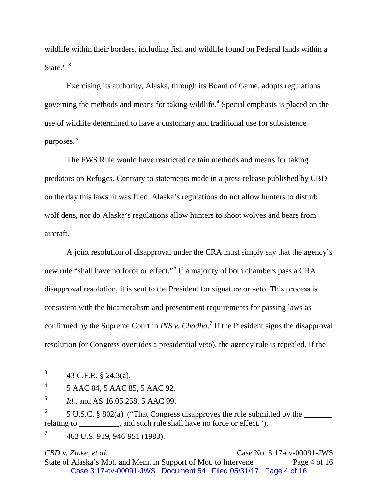wildlife within their borders, including fish and wildlife found on Federal lands within a State."<sup>[3](#page-3-0)</sup>

Exercising its authority, Alaska, through its Board of Game, adopts regulations governing the methods and means for taking wildlife.[4](#page-3-1) Special emphasis is placed on the use of wildlife determined to have a customary and traditional use for subsistence purposes.[5](#page-3-2)

The FWS Rule would have restricted certain methods and means for taking predators on Refuges. Contrary to statements made in a press release published by CBD on the day this lawsuit was filed, Alaska's regulations do not allow hunters to disturb wolf dens, nor do Alaska's regulations allow hunters to shoot wolves and bears from aircraft.

A joint resolution of disapproval under the CRA must simply say that the agency's new rule "shall have no force or effect."[6](#page-3-3) If a majority of both chambers pass a CRA disapproval resolution, it is sent to the President for signature or veto. This process is consistent with the bicameralism and presentment requirements for passing laws as confirmed by the Supreme Court in *INS v. Chadha*. *[7](#page-3-4)* If the President signs the disapproval resolution (or Congress overrides a presidential veto), the agency rule is repealed. If the

*CBD v. Zinke, et al.* **Case No. 3:17-cv-00091-JWS** State of Alaska's Mot. and Mem. in Support of Mot. to Intervene Page 4 of 16 Case 3:17-cv-00091-JWS Document 54 Filed 05/31/17 Page 4 of 16

<span id="page-3-0"></span> $3 \text{ } 43 \text{ C.F.R. } § 24.3(a).$ 

<span id="page-3-1"></span> $4^4$  5 AAC 84, 5 AAC 85, 5 AAC 92.

<span id="page-3-2"></span><sup>5</sup> *Id.*, and AS 16.05.258, 5 AAC 99.

<span id="page-3-3"></span> $6$  5 U.S.C. § 802(a). ("That Congress disapproves the rule submitted by the  $\frac{1}{2}$ relating to \_\_\_\_\_\_\_\_, and such rule shall have no force or effect.").

<span id="page-3-4"></span><sup>7</sup> 462 U.S. 919, 946-951 (1983).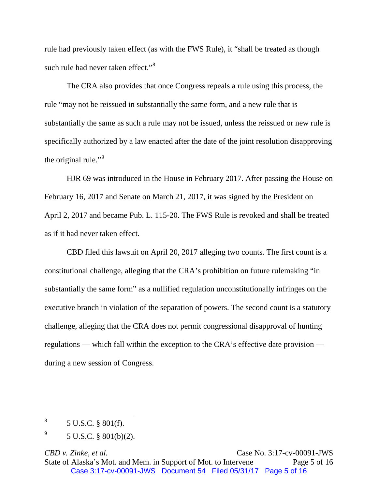rule had previously taken effect (as with the FWS Rule), it "shall be treated as though such rule had never taken effect."<sup>[8](#page-4-0)</sup>

The CRA also provides that once Congress repeals a rule using this process, the rule "may not be reissued in substantially the same form, and a new rule that is substantially the same as such a rule may not be issued, unless the reissued or new rule is specifically authorized by a law enacted after the date of the joint resolution disapproving the original rule."<sup>[9](#page-4-1)</sup>

HJR 69 was introduced in the House in February 2017. After passing the House on February 16, 2017 and Senate on March 21, 2017, it was signed by the President on April 2, 2017 and became Pub. L. 115-20. The FWS Rule is revoked and shall be treated as if it had never taken effect.

CBD filed this lawsuit on April 20, 2017 alleging two counts. The first count is a constitutional challenge, alleging that the CRA's prohibition on future rulemaking "in substantially the same form" as a nullified regulation unconstitutionally infringes on the executive branch in violation of the separation of powers. The second count is a statutory challenge, alleging that the CRA does not permit congressional disapproval of hunting regulations — which fall within the exception to the CRA's effective date provision during a new session of Congress.

<span id="page-4-0"></span> $8^8$  5 U.S.C. § 801(f).

<span id="page-4-1"></span><sup>9</sup> 5 U.S.C. § 801(b)(2).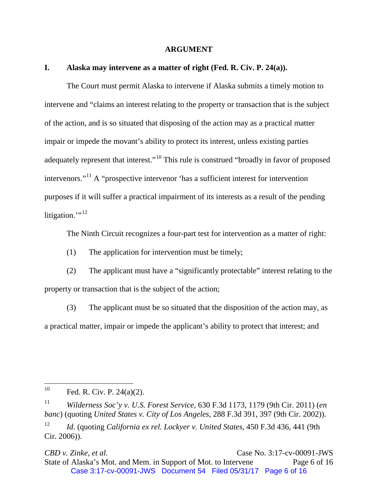#### **ARGUMENT**

### **I. Alaska may intervene as a matter of right (Fed. R. Civ. P. 24(a)).**

The Court must permit Alaska to intervene if Alaska submits a timely motion to intervene and "claims an interest relating to the property or transaction that is the subject of the action, and is so situated that disposing of the action may as a practical matter impair or impede the movant's ability to protect its interest, unless existing parties adequately represent that interest."<sup>[10](#page-5-0)</sup> This rule is construed "broadly in favor of proposed intervenors."[11](#page-5-1) A "prospective intervenor 'has a sufficient interest for intervention purposes if it will suffer a practical impairment of its interests as a result of the pending litigation." $^{12}$  $^{12}$  $^{12}$ 

The Ninth Circuit recognizes a four-part test for intervention as a matter of right:

(1) The application for intervention must be timely;

(2) The applicant must have a "significantly protectable" interest relating to the property or transaction that is the subject of the action;

(3) The applicant must be so situated that the disposition of the action may, as a practical matter, impair or impede the applicant's ability to protect that interest; and

**CBD** *v. Zinke, et al.* **Case No. 3:17-cv-00091-JWS** State of Alaska's Mot. and Mem. in Support of Mot. to Intervene Page 6 of 16 Case 3:17-cv-00091-JWS Document 54 Filed 05/31/17 Page 6 of 16

<span id="page-5-0"></span> $^{10}$  Fed. R. Civ. P. 24(a)(2).

<span id="page-5-1"></span><sup>11</sup> *Wilderness Soc'y v. U.S. Forest Service*, 630 F.3d 1173, 1179 (9th Cir. 2011) (*en banc*) (quoting *United States v. City of Los Angeles*, 288 F.3d 391, 397 (9th Cir. 2002)).

<span id="page-5-2"></span><sup>12</sup> *Id*. (quoting *California ex rel. Lockyer v. United States*, 450 F.3d 436, 441 (9th Cir. 2006)).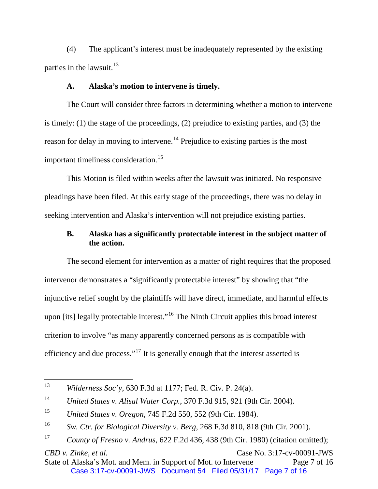(4) The applicant's interest must be inadequately represented by the existing parties in the lawsuit. $^{13}$  $^{13}$  $^{13}$ 

### **A. Alaska's motion to intervene is timely.**

The Court will consider three factors in determining whether a motion to intervene is timely: (1) the stage of the proceedings, (2) prejudice to existing parties, and (3) the reason for delay in moving to intervene.<sup>[14](#page-6-1)</sup> Prejudice to existing parties is the most important timeliness consideration.<sup>[15](#page-6-2)</sup>

This Motion is filed within weeks after the lawsuit was initiated. No responsive pleadings have been filed. At this early stage of the proceedings, there was no delay in seeking intervention and Alaska's intervention will not prejudice existing parties.

## **B. Alaska has a significantly protectable interest in the subject matter of the action.**

The second element for intervention as a matter of right requires that the proposed intervenor demonstrates a "significantly protectable interest" by showing that "the injunctive relief sought by the plaintiffs will have direct, immediate, and harmful effects upon [its] legally protectable interest."<sup>[16](#page-6-3)</sup> The Ninth Circuit applies this broad interest criterion to involve "as many apparently concerned persons as is compatible with efficiency and due process."<sup>[17](#page-6-4)</sup> It is generally enough that the interest asserted is

**CBD** *v. Zinke, et al.* **Case No. 3:17-cv-00091-JWS** State of Alaska's Mot. and Mem. in Support of Mot. to Intervene Page 7 of 16 Case 3:17-cv-00091-JWS Document 54 Filed 05/31/17 Page 7 of 16

<span id="page-6-0"></span> <sup>13</sup> *Wilderness Soc'y*, 630 F.3d at 1177; Fed. R. Civ. P. 24(a).

<span id="page-6-1"></span><sup>14</sup> *United States v. Alisal Water Corp.*, 370 F.3d 915, 921 (9th Cir. 2004).

<span id="page-6-2"></span><sup>15</sup> *United States v. Oregon*, 745 F.2d 550, 552 (9th Cir. 1984).

<span id="page-6-3"></span><sup>16</sup> *Sw. Ctr. for Biological Diversity v. Berg*, 268 F.3d 810, 818 (9th Cir. 2001).

<span id="page-6-4"></span><sup>17</sup> *County of Fresno v. Andrus*, 622 F.2d 436, 438 (9th Cir. 1980) (citation omitted);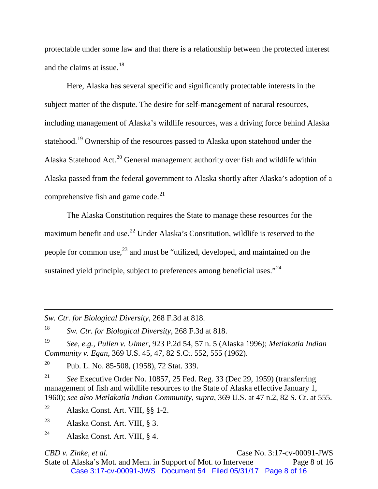protectable under some law and that there is a relationship between the protected interest and the claims at issue.<sup>[18](#page-7-0)</sup>

Here, Alaska has several specific and significantly protectable interests in the subject matter of the dispute. The desire for self-management of natural resources, including management of Alaska's wildlife resources, was a driving force behind Alaska statehood.<sup>[19](#page-7-1)</sup> Ownership of the resources passed to Alaska upon statehood under the Alaska Statehood Act.<sup>[20](#page-7-2)</sup> General management authority over fish and wildlife within Alaska passed from the federal government to Alaska shortly after Alaska's adoption of a comprehensive fish and game code.<sup>[21](#page-7-3)</sup>

The Alaska Constitution requires the State to manage these resources for the maximum benefit and use.<sup>[22](#page-7-4)</sup> Under Alaska's Constitution, wildlife is reserved to the people for common use, $^{23}$  $^{23}$  $^{23}$  and must be "utilized, developed, and maintained on the sustained yield principle, subject to preferences among beneficial uses."<sup>[24](#page-7-6)</sup>

*Sw. Ctr. for Biological Diversity*, 268 F.3d at 818.

<span id="page-7-0"></span><sup>18</sup> *Sw. Ctr. for Biological Diversity*, 268 F.3d at 818.

<span id="page-7-1"></span><sup>19</sup> *See, e.g., Pullen v. Ulmer*, 923 P.2d 54, 57 n. 5 (Alaska 1996); *Metlakatla Indian Community v. Egan*, 369 U.S. 45, 47, 82 S.Ct. 552, 555 (1962).

<span id="page-7-2"></span><sup>20</sup> Pub. L. No. 85-508, (1958), 72 Stat. 339.

<span id="page-7-3"></span><sup>21</sup> *See* Executive Order No. 10857, 25 Fed. Reg. 33 (Dec 29, 1959) (transferring management of fish and wildlife resources to the State of Alaska effective January 1, 1960); *see also Metlakatla Indian Community*, *supra*, 369 U.S. at 47 n.2, 82 S. Ct. at 555.

<span id="page-7-4"></span><sup>22</sup> Alaska Const. Art. VIII, §§ 1-2.

<span id="page-7-5"></span><sup>23</sup> Alaska Const. Art. VIII, § 3.

 $\overline{a}$ 

*CBD v. Zinke, et al.* **Case No. 3:17-cv-00091-JWS** State of Alaska's Mot. and Mem. in Support of Mot. to Intervene Page 8 of 16 Case 3:17-cv-00091-JWS Document 54 Filed 05/31/17 Page 8 of 16

<span id="page-7-6"></span><sup>&</sup>lt;sup>24</sup> Alaska Const. Art. VIII,  $\S$  4.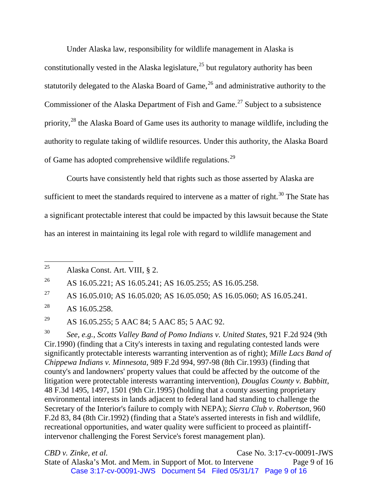Under Alaska law, responsibility for wildlife management in Alaska is constitutionally vested in the Alaska legislature,  $2<sup>5</sup>$  but regulatory authority has been statutorily delegated to the Alaska Board of Game,  $^{26}$  $^{26}$  $^{26}$  and administrative authority to the Commissioner of the Alaska Department of Fish and Game.<sup>[27](#page-8-2)</sup> Subject to a subsistence priority,<sup>[28](#page-8-3)</sup> the Alaska Board of Game uses its authority to manage wildlife, including the authority to regulate taking of wildlife resources. Under this authority, the Alaska Board of Game has adopted comprehensive wildlife regulations.[29](#page-8-4)

Courts have consistently held that rights such as those asserted by Alaska are sufficient to meet the standards required to intervene as a matter of right.<sup>[30](#page-8-5)</sup> The State has a significant protectable interest that could be impacted by this lawsuit because the State has an interest in maintaining its legal role with regard to wildlife management and

<span id="page-8-1"></span><sup>26</sup> AS 16.05.221; AS 16.05.241; AS 16.05.255; AS 16.05.258.

<span id="page-8-2"></span><sup>27</sup> AS 16.05.010; AS 16.05.020; AS 16.05.050; AS 16.05.060; AS 16.05.241.

<span id="page-8-4"></span><sup>29</sup> AS 16.05.255; 5 AAC 84; 5 AAC 85; 5 AAC 92.

<span id="page-8-5"></span><sup>30</sup> *See, e.g., Scotts Valley Band of Pomo Indians v. United States*, 921 F.2d 924 (9th Cir.1990) (finding that a City's interests in taxing and regulating contested lands were significantly protectable interests warranting intervention as of right); *Mille Lacs Band of Chippewa Indians v. Minnesota*, 989 F.2d 994, 997-98 (8th Cir.1993) (finding that county's and landowners' property values that could be affected by the outcome of the litigation were protectable interests warranting intervention), *Douglas County v. Babbitt*, 48 F.3d 1495, 1497, 1501 (9th Cir.1995) (holding that a county asserting proprietary environmental interests in lands adjacent to federal land had standing to challenge the Secretary of the Interior's failure to comply with NEPA); *Sierra Club v. Robertson*, 960 F.2d 83, 84 (8th Cir.1992) (finding that a State's asserted interests in fish and wildlife, recreational opportunities, and water quality were sufficient to proceed as plaintiffintervenor challenging the Forest Service's forest management plan).

**CBD** *v. Zinke, et al.* **Case No. 3:17-cv-00091-JWS** State of Alaska's Mot. and Mem. in Support of Mot. to Intervene Page 9 of 16 Case 3:17-cv-00091-JWS Document 54 Filed 05/31/17 Page 9 of 16

<span id="page-8-0"></span><sup>&</sup>lt;sup>25</sup> Alaska Const. Art. VIII,  $\S$  2.

<span id="page-8-3"></span><sup>&</sup>lt;sup>28</sup> AS 16.05.258.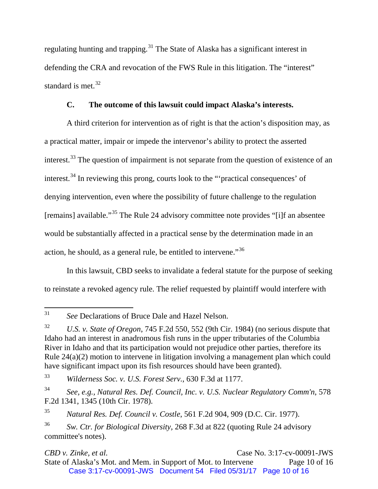regulating hunting and trapping.<sup>[31](#page-9-0)</sup> The State of Alaska has a significant interest in defending the CRA and revocation of the FWS Rule in this litigation. The "interest" standard is met. $32$ 

## **C. The outcome of this lawsuit could impact Alaska's interests.**

A third criterion for intervention as of right is that the action's disposition may, as a practical matter, impair or impede the intervenor's ability to protect the asserted interest.<sup>[33](#page-9-2)</sup> The question of impairment is not separate from the question of existence of an interest.<sup>[34](#page-9-3)</sup> In reviewing this prong, courts look to the "'practical consequences' of denying intervention, even where the possibility of future challenge to the regulation [remains] available."[35](#page-9-4) The Rule 24 advisory committee note provides "[i]f an absentee would be substantially affected in a practical sense by the determination made in an action, he should, as a general rule, be entitled to intervene.<sup>[36](#page-9-5)</sup>

In this lawsuit, CBD seeks to invalidate a federal statute for the purpose of seeking to reinstate a revoked agency rule. The relief requested by plaintiff would interfere with

*CBD v. Zinke, et al.* **Case No. 3:17-cv-00091-JWS** State of Alaska's Mot. and Mem. in Support of Mot. to Intervene Page 10 of 16 Case 3:17-cv-00091-JWS Document 54 Filed 05/31/17 Page 10 of 16

<span id="page-9-0"></span> <sup>31</sup> *See* Declarations of Bruce Dale and Hazel Nelson.

<span id="page-9-1"></span><sup>32</sup> *U.S. v. State of Oregon*, 745 F.2d 550, 552 (9th Cir. 1984) (no serious dispute that Idaho had an interest in anadromous fish runs in the upper tributaries of the Columbia River in Idaho and that its participation would not prejudice other parties, therefore its Rule 24(a)(2) motion to intervene in litigation involving a management plan which could have significant impact upon its fish resources should have been granted).

<span id="page-9-2"></span><sup>33</sup> *Wilderness Soc. v. U.S. Forest Serv.*, 630 F.3d at 1177.

<span id="page-9-3"></span><sup>34</sup> *See, e.g., Natural Res. Def. Council, Inc. v. U.S. Nuclear Regulatory Comm'n*, 578 F.2d 1341, 1345 (10th Cir. 1978).

<span id="page-9-4"></span><sup>35</sup> *Natural Res. Def. Council v. Costle*, 561 F.2d 904, 909 (D.C. Cir. 1977).

<span id="page-9-5"></span><sup>36</sup> *Sw. Ctr. for Biological Diversity,* 268 F.3d at 822 (quoting Rule 24 advisory committee's notes).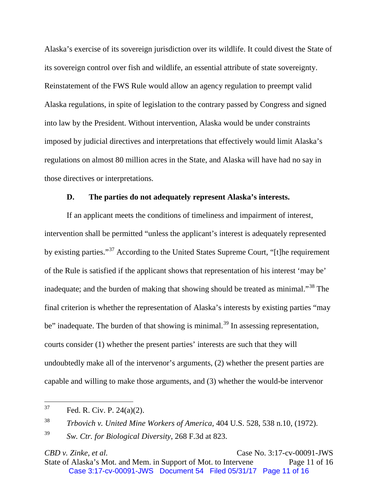Alaska's exercise of its sovereign jurisdiction over its wildlife. It could divest the State of its sovereign control over fish and wildlife, an essential attribute of state sovereignty. Reinstatement of the FWS Rule would allow an agency regulation to preempt valid Alaska regulations, in spite of legislation to the contrary passed by Congress and signed into law by the President. Without intervention, Alaska would be under constraints imposed by judicial directives and interpretations that effectively would limit Alaska's regulations on almost 80 million acres in the State, and Alaska will have had no say in those directives or interpretations.

### **D. The parties do not adequately represent Alaska's interests.**

If an applicant meets the conditions of timeliness and impairment of interest, intervention shall be permitted "unless the applicant's interest is adequately represented by existing parties."[37](#page-10-0) According to the United States Supreme Court, "[t]he requirement of the Rule is satisfied if the applicant shows that representation of his interest 'may be' inadequate; and the burden of making that showing should be treated as minimal."<sup>[38](#page-10-1)</sup> The final criterion is whether the representation of Alaska's interests by existing parties "may be" inadequate. The burden of that showing is minimal.<sup>[39](#page-10-2)</sup> In assessing representation, courts consider (1) whether the present parties' interests are such that they will undoubtedly make all of the intervenor's arguments, (2) whether the present parties are capable and willing to make those arguments, and (3) whether the would-be intervenor

*CBD v. Zinke, et al.* **Case No. 3:17-cv-00091-JWS** State of Alaska's Mot. and Mem. in Support of Mot. to Intervene Page 11 of 16 Case 3:17-cv-00091-JWS Document 54 Filed 05/31/17 Page 11 of 16

<span id="page-10-0"></span> $37$  Fed. R. Civ. P. 24(a)(2).

<span id="page-10-1"></span><sup>38</sup> *Trbovich v. United Mine Workers of America*, 404 U.S. 528, 538 n.10, (1972).

<span id="page-10-2"></span><sup>39</sup> *Sw. Ctr. for Biological Diversity*, 268 F.3d at 823.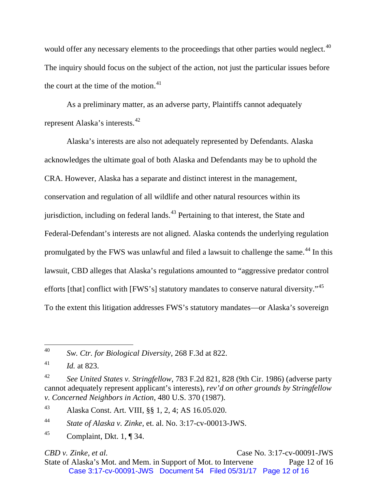would offer any necessary elements to the proceedings that other parties would neglect.<sup>[40](#page-11-0)</sup> The inquiry should focus on the subject of the action, not just the particular issues before the court at the time of the motion. $41$ 

As a preliminary matter, as an adverse party, Plaintiffs cannot adequately represent Alaska's interests.[42](#page-11-2)

Alaska's interests are also not adequately represented by Defendants. Alaska acknowledges the ultimate goal of both Alaska and Defendants may be to uphold the CRA. However, Alaska has a separate and distinct interest in the management, conservation and regulation of all wildlife and other natural resources within its jurisdiction, including on federal lands.<sup> $43$ </sup> Pertaining to that interest, the State and Federal-Defendant's interests are not aligned. Alaska contends the underlying regulation promulgated by the FWS was unlawful and filed a lawsuit to challenge the same.<sup>[44](#page-11-4)</sup> In this lawsuit, CBD alleges that Alaska's regulations amounted to "aggressive predator control efforts [that] conflict with [FWS's] statutory mandates to conserve natural diversity."<sup>[45](#page-11-5)</sup> To the extent this litigation addresses FWS's statutory mandates—or Alaska's sovereign

**CBD** *v. Zinke, et al.* **Case No. 3:17-cv-00091-JWS** State of Alaska's Mot. and Mem. in Support of Mot. to Intervene Page 12 of 16 Case 3:17-cv-00091-JWS Document 54 Filed 05/31/17 Page 12 of 16

<span id="page-11-0"></span> <sup>40</sup> *Sw. Ctr. for Biological Diversity*, 268 F.3d at 822.

<span id="page-11-1"></span><sup>41</sup> *Id.* at 823.

<span id="page-11-2"></span><sup>42</sup> *See United States v. Stringfellow*, 783 F.2d 821, 828 (9th Cir. 1986) (adverse party cannot adequately represent applicant's interests), *rev'd on other grounds by Stringfellow v. Concerned Neighbors in Action*, 480 U.S. 370 (1987).

<span id="page-11-3"></span><sup>43</sup> Alaska Const. Art. VIII, §§ 1, 2, 4; AS 16.05.020.

<span id="page-11-4"></span><sup>44</sup> *State of Alaska v. Zinke*, et. al. No. 3:17-cv-00013-JWS.

<span id="page-11-5"></span><sup>&</sup>lt;sup>45</sup> Complaint, Dkt. 1, ¶ 34.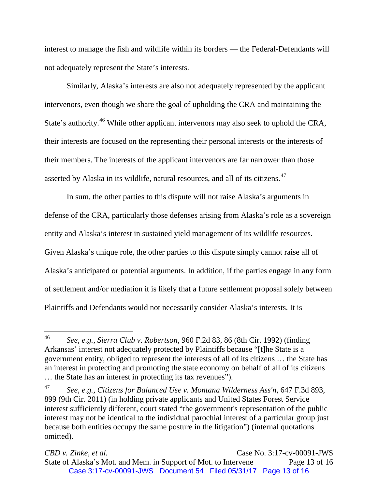interest to manage the fish and wildlife within its borders — the Federal-Defendants will not adequately represent the State's interests.

Similarly, Alaska's interests are also not adequately represented by the applicant intervenors, even though we share the goal of upholding the CRA and maintaining the State's authority.<sup>[46](#page-12-0)</sup> While other applicant intervenors may also seek to uphold the CRA, their interests are focused on the representing their personal interests or the interests of their members. The interests of the applicant intervenors are far narrower than those asserted by Alaska in its wildlife, natural resources, and all of its citizens.<sup>[47](#page-12-1)</sup>

In sum, the other parties to this dispute will not raise Alaska's arguments in defense of the CRA, particularly those defenses arising from Alaska's role as a sovereign entity and Alaska's interest in sustained yield management of its wildlife resources. Given Alaska's unique role, the other parties to this dispute simply cannot raise all of Alaska's anticipated or potential arguments. In addition, if the parties engage in any form of settlement and/or mediation it is likely that a future settlement proposal solely between Plaintiffs and Defendants would not necessarily consider Alaska's interests. It is

<span id="page-12-0"></span> <sup>46</sup> *See, e.g.*, *Sierra Club v. Robertson*, 960 F.2d 83, 86 (8th Cir. 1992) (finding Arkansas' interest not adequately protected by Plaintiffs because "[t]he State is a government entity, obliged to represent the interests of all of its citizens … the State has an interest in protecting and promoting the state economy on behalf of all of its citizens … the State has an interest in protecting its tax revenues").

<span id="page-12-1"></span><sup>47</sup> *See, e.g., Citizens for Balanced Use v. Montana Wilderness Ass'n*, 647 F.3d 893, 899 (9th Cir. 2011) (in holding private applicants and United States Forest Service interest sufficiently different, court stated "the government's representation of the public interest may not be identical to the individual parochial interest of a particular group just because both entities occupy the same posture in the litigation") (internal quotations omitted).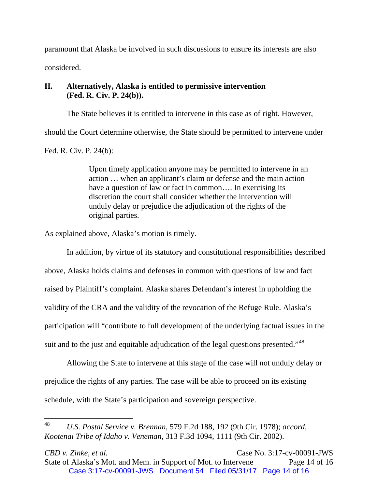paramount that Alaska be involved in such discussions to ensure its interests are also considered.

# **II. Alternatively, Alaska is entitled to permissive intervention (Fed. R. Civ. P. 24(b)).**

The State believes it is entitled to intervene in this case as of right. However,

should the Court determine otherwise, the State should be permitted to intervene under

Fed. R. Civ. P. 24(b):

Upon timely application anyone may be permitted to intervene in an action … when an applicant's claim or defense and the main action have a question of law or fact in common.... In exercising its discretion the court shall consider whether the intervention will unduly delay or prejudice the adjudication of the rights of the original parties.

As explained above, Alaska's motion is timely.

In addition, by virtue of its statutory and constitutional responsibilities described above, Alaska holds claims and defenses in common with questions of law and fact raised by Plaintiff's complaint. Alaska shares Defendant's interest in upholding the validity of the CRA and the validity of the revocation of the Refuge Rule. Alaska's participation will "contribute to full development of the underlying factual issues in the suit and to the just and equitable adjudication of the legal questions presented."<sup>[48](#page-13-0)</sup>

Allowing the State to intervene at this stage of the case will not unduly delay or prejudice the rights of any parties. The case will be able to proceed on its existing schedule, with the State's participation and sovereign perspective.

<span id="page-13-0"></span> <sup>48</sup> *U.S. Postal Service v. Brennan*, 579 F.2d 188, 192 (9th Cir. 1978); *accord, Kootenai Tribe of Idaho v. Veneman*, 313 F.3d 1094, 1111 (9th Cir. 2002).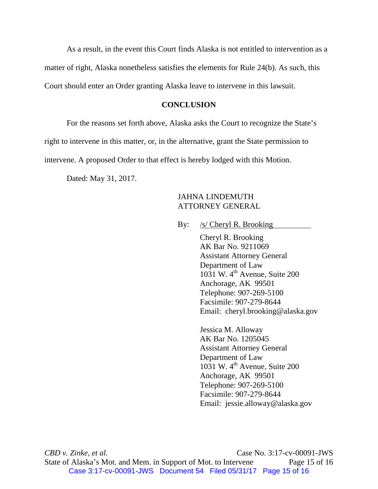As a result, in the event this Court finds Alaska is not entitled to intervention as a matter of right, Alaska nonetheless satisfies the elements for Rule 24(b). As such, this Court should enter an Order granting Alaska leave to intervene in this lawsuit.

### **CONCLUSION**

For the reasons set forth above, Alaska asks the Court to recognize the State's

right to intervene in this matter, or, in the alternative, grant the State permission to

intervene. A proposed Order to that effect is hereby lodged with this Motion.

Dated: May 31, 2017.

### JAHNA LINDEMUTH ATTORNEY GENERAL

By: /s/ Cheryl R. Brooking

Cheryl R. Brooking AK Bar No. 9211069 Assistant Attorney General Department of Law  $1031$  W.  $4<sup>th</sup>$  Avenue, Suite 200 Anchorage, AK 99501 Telephone: 907-269-5100 Facsimile: 907-279-8644 Email: cheryl.brooking@alaska.gov

Jessica M. Alloway AK Bar No. 1205045 Assistant Attorney General Department of Law  $10\overline{3}1$  W. 4<sup>th</sup> Avenue, Suite 200 Anchorage, AK 99501 Telephone: 907-269-5100 Facsimile: 907-279-8644 Email: jessie.alloway@alaska.gov